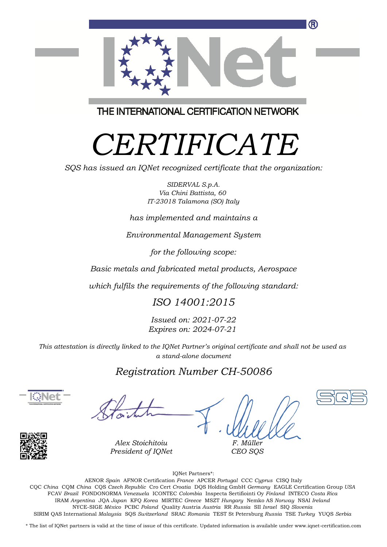

THE INTERNATIONAL CERTIFICATION NETWORK

# *CERTIFICATE*

*SQS has issued an IQNet recognized certificate that the organization:*

*SIDERVAL S.p.A. Via Chini Battista, 60 IT-23018 Talamona (SO) Italy*

*has implemented and maintains a*

*Environmental Management System*

*for the following scope:*

*Basic metals and fabricated metal products, Aerospace*

*which fulfils the requirements of the following standard:*

## *ISO 14001:2015*

*Issued on: 2021-07-22 Expires on: 2024-07-21*

*This attestation is directly linked to the IQNet Partner's original certificate and shall not be used as a stand-alone document*

## *Registration Number CH-50086*





*Alex Stoichitoiu President of IQNet*

*F. Müller CEO SQS*

IQNet Partners\*:

This annex is only valid in connection with the above-mentioned certificate. FCAV *Brazil* FONDONORMA *Venezuela* ICONTEC *Colombia* Inspecta Sertifiointi Oy *Finland* INTECO *Costa Rica* AENOR *Spain* AFNOR Certification *France* APCER *Portugal* CCC *Cyprus* CISQ Italy CQC *China* CQM *China* CQS *Czech Republic* Cro Cert *Croatia* DQS Holding GmbH *Germany* EAGLE Certification Group *USA* IRAM *Argentina* JQA *Japan* KFQ *Korea* MIRTEC *Greece* MSZT *Hungary* Nemko AS *Norway* NSAI *Ireland* NYCE-SIGE *México* PCBC *Poland* Quality Austria *Austria* RR *Russia* SII *Israel* SIQ *Slovenia* SIRIM QAS International *Malaysia* SQS *Switzerland* SRAC *Romania* TEST St Petersburg *Russia* TSE *Turkey* YUQS *Serbia*

\* The list of IQNet partners is valid at the time of issue of this certificate. Updated information is available under www.iqnet-certification.com